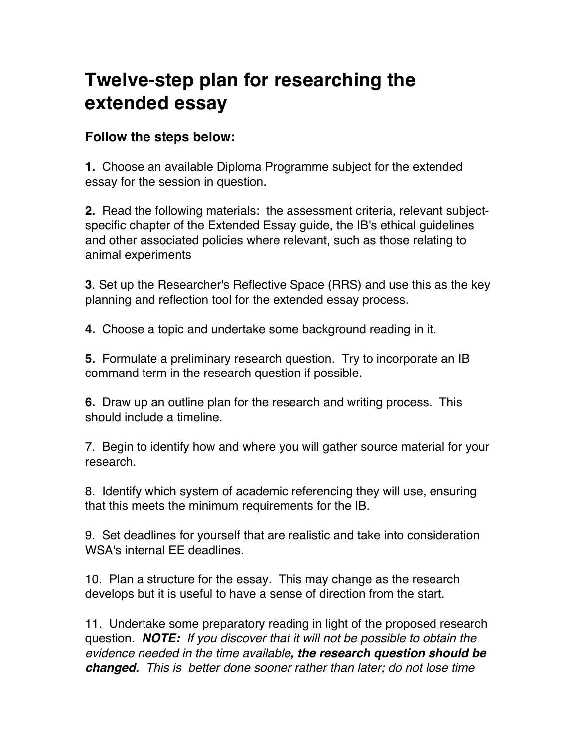## **Twelve-step plan for researching the extended essay**

## **Follow the steps below:**

**1.** Choose an available Diploma Programme subject for the extended essay for the session in question.

**2.** Read the following materials: the assessment criteria, relevant subjectspecific chapter of the Extended Essay guide, the IB's ethical guidelines and other associated policies where relevant, such as those relating to animal experiments

**3**. Set up the Researcher's Reflective Space (RRS) and use this as the key planning and reflection tool for the extended essay process.

**4.** Choose a topic and undertake some background reading in it.

**5.** Formulate a preliminary research question. Try to incorporate an IB command term in the research question if possible.

**6.** Draw up an outline plan for the research and writing process. This should include a timeline.

7. Begin to identify how and where you will gather source material for your research.

8. Identify which system of academic referencing they will use, ensuring that this meets the minimum requirements for the IB.

9. Set deadlines for yourself that are realistic and take into consideration WSA's internal EE deadlines.

10. Plan a structure for the essay. This may change as the research develops but it is useful to have a sense of direction from the start.

11. Undertake some preparatory reading in light of the proposed research question. *NOTE: If you discover that it will not be possible to obtain the evidence needed in the time available, the research question should be changed. This is better done sooner rather than later; do not lose time*